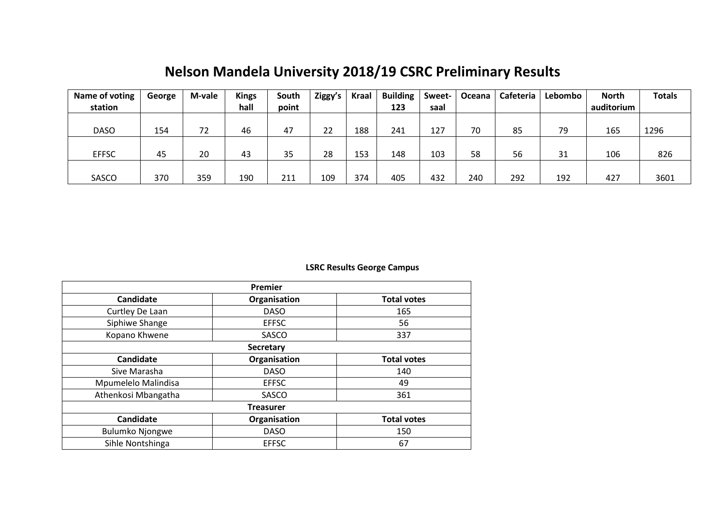# **Nelson Mandela University 2018/19 CSRC Preliminary Results**

| Name of voting | George | M-vale | <b>Kings</b> | South | Ziggy's | Kraal | <b>Building</b> | Sweet- | Oceana | Cafeteria | Lebombo | <b>North</b> | <b>Totals</b> |
|----------------|--------|--------|--------------|-------|---------|-------|-----------------|--------|--------|-----------|---------|--------------|---------------|
| station        |        |        | hall         | point |         |       | 123             | saal   |        |           |         | auditorium   |               |
|                |        |        |              |       |         |       |                 |        |        |           |         |              |               |
| <b>DASO</b>    | 154    | 72     | 46           | 47    | 22      | 188   | 241             | 127    | 70     | 85        | 79      | 165          | 1296          |
|                |        |        |              |       |         |       |                 |        |        |           |         |              |               |
| <b>EFFSC</b>   | 45     | 20     | 43           | 35    | 28      | 153   | 148             | 103    | 58     | 56        | 31      | 106          | 826           |
|                |        |        |              |       |         |       |                 |        |        |           |         |              |               |
| SASCO          | 370    | 359    | 190          | 211   | 109     | 374   | 405             | 432    | 240    | 292       | 192     | 427          | 3601          |

## **LSRC Results George Campus**

| Premier                |                  |                    |  |  |  |  |  |  |  |  |  |
|------------------------|------------------|--------------------|--|--|--|--|--|--|--|--|--|
| <b>Candidate</b>       | Organisation     | <b>Total votes</b> |  |  |  |  |  |  |  |  |  |
| Curtley De Laan        | <b>DASO</b>      | 165                |  |  |  |  |  |  |  |  |  |
| Siphiwe Shange         | <b>EFFSC</b>     | 56                 |  |  |  |  |  |  |  |  |  |
| Kopano Khwene          | SASCO            | 337                |  |  |  |  |  |  |  |  |  |
|                        | <b>Secretary</b> |                    |  |  |  |  |  |  |  |  |  |
| <b>Candidate</b>       | Organisation     | <b>Total votes</b> |  |  |  |  |  |  |  |  |  |
| Sive Marasha           | <b>DASO</b>      | 140                |  |  |  |  |  |  |  |  |  |
| Mpumelelo Malindisa    | <b>EFFSC</b>     | 49                 |  |  |  |  |  |  |  |  |  |
| Athenkosi Mbangatha    | SASCO            | 361                |  |  |  |  |  |  |  |  |  |
|                        | <b>Treasurer</b> |                    |  |  |  |  |  |  |  |  |  |
| <b>Candidate</b>       | Organisation     | <b>Total votes</b> |  |  |  |  |  |  |  |  |  |
| <b>Bulumko Njongwe</b> | <b>DASO</b>      | 150                |  |  |  |  |  |  |  |  |  |
| Sihle Nontshinga       | <b>EFFSC</b>     | 67                 |  |  |  |  |  |  |  |  |  |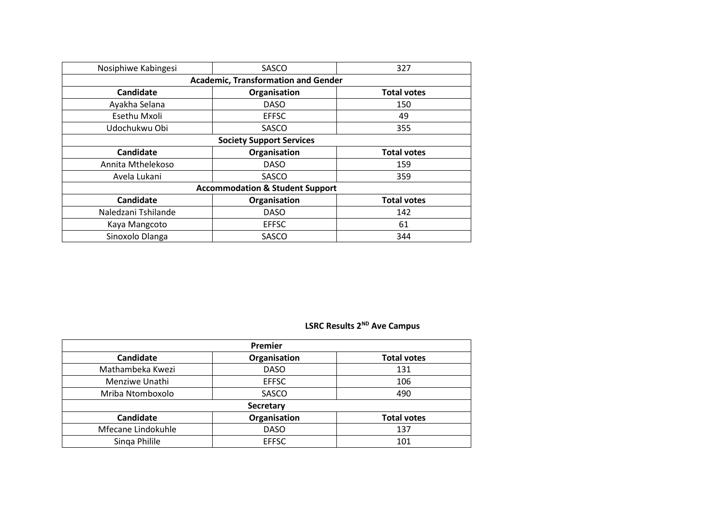| Nosiphiwe Kabingesi             | SASCO                                      | 327                |  |  |  |  |  |  |  |  |  |  |  |
|---------------------------------|--------------------------------------------|--------------------|--|--|--|--|--|--|--|--|--|--|--|
|                                 | <b>Academic, Transformation and Gender</b> |                    |  |  |  |  |  |  |  |  |  |  |  |
| Candidate                       | Organisation                               | <b>Total votes</b> |  |  |  |  |  |  |  |  |  |  |  |
| Ayakha Selana                   | <b>DASO</b>                                | 150                |  |  |  |  |  |  |  |  |  |  |  |
| Esethu Mxoli                    | <b>EFFSC</b>                               | 49                 |  |  |  |  |  |  |  |  |  |  |  |
| Udochukwu Obi                   | SASCO                                      | 355                |  |  |  |  |  |  |  |  |  |  |  |
| <b>Society Support Services</b> |                                            |                    |  |  |  |  |  |  |  |  |  |  |  |
| Candidate                       | Organisation                               | <b>Total votes</b> |  |  |  |  |  |  |  |  |  |  |  |
| Annita Mthelekoso               | <b>DASO</b>                                | 159                |  |  |  |  |  |  |  |  |  |  |  |
| Avela Lukani                    | SASCO                                      | 359                |  |  |  |  |  |  |  |  |  |  |  |
|                                 | <b>Accommodation &amp; Student Support</b> |                    |  |  |  |  |  |  |  |  |  |  |  |
| Candidate                       | Organisation                               | <b>Total votes</b> |  |  |  |  |  |  |  |  |  |  |  |
| Naledzani Tshilande             | <b>DASO</b>                                | 142                |  |  |  |  |  |  |  |  |  |  |  |
| Kaya Mangcoto                   | <b>EFFSC</b>                               | 61                 |  |  |  |  |  |  |  |  |  |  |  |
| Sinoxolo Dlanga                 | <b>SASCO</b>                               | 344                |  |  |  |  |  |  |  |  |  |  |  |

# **LSRC Results 2ND Ave Campus**

| Premier            |              |                    |  |  |  |  |  |  |  |  |  |
|--------------------|--------------|--------------------|--|--|--|--|--|--|--|--|--|
| <b>Candidate</b>   | Organisation | <b>Total votes</b> |  |  |  |  |  |  |  |  |  |
| Mathambeka Kwezi   | <b>DASO</b>  | 131                |  |  |  |  |  |  |  |  |  |
| Menziwe Unathi     | <b>EFFSC</b> | 106                |  |  |  |  |  |  |  |  |  |
| Mriba Ntomboxolo   | SASCO        | 490                |  |  |  |  |  |  |  |  |  |
|                    | Secretary    |                    |  |  |  |  |  |  |  |  |  |
| <b>Candidate</b>   | Organisation | <b>Total votes</b> |  |  |  |  |  |  |  |  |  |
| Mfecane Lindokuhle | <b>DASO</b>  | 137                |  |  |  |  |  |  |  |  |  |
| Singa Philile      | <b>EFFSC</b> | 101                |  |  |  |  |  |  |  |  |  |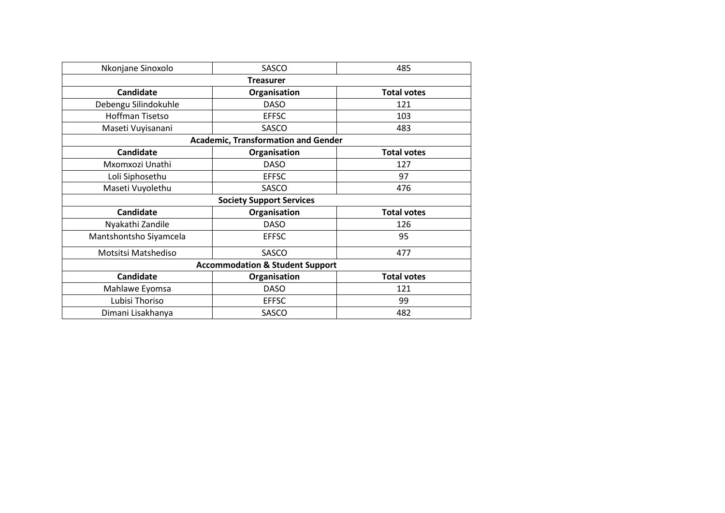| Nkonjane Sinoxolo                                      | SASCO                                      | 485                |  |  |  |  |  |
|--------------------------------------------------------|--------------------------------------------|--------------------|--|--|--|--|--|
|                                                        | <b>Treasurer</b>                           |                    |  |  |  |  |  |
| <b>Candidate</b>                                       | Organisation                               | <b>Total votes</b> |  |  |  |  |  |
| Debengu Silindokuhle                                   | <b>DASO</b>                                | 121                |  |  |  |  |  |
| <b>Hoffman Tisetso</b>                                 | <b>EFFSC</b>                               | 103                |  |  |  |  |  |
| Maseti Vuyisanani                                      | SASCO                                      | 483                |  |  |  |  |  |
|                                                        | <b>Academic, Transformation and Gender</b> |                    |  |  |  |  |  |
| Candidate                                              | Organisation                               | <b>Total votes</b> |  |  |  |  |  |
| Mxomxozi Unathi                                        | <b>DASO</b>                                | 127                |  |  |  |  |  |
| Loli Siphosethu                                        | <b>EFFSC</b>                               | 97                 |  |  |  |  |  |
| Maseti Vuyolethu                                       | SASCO                                      | 476                |  |  |  |  |  |
|                                                        | <b>Society Support Services</b>            |                    |  |  |  |  |  |
| <b>Candidate</b>                                       | Organisation                               | <b>Total votes</b> |  |  |  |  |  |
| Nyakathi Zandile                                       | <b>DASO</b>                                | 126                |  |  |  |  |  |
| Mantshontsho Siyamcela                                 | <b>EFFSC</b>                               | 95                 |  |  |  |  |  |
| Motsitsi Matshediso                                    | SASCO                                      | 477                |  |  |  |  |  |
|                                                        | <b>Accommodation &amp; Student Support</b> |                    |  |  |  |  |  |
| <b>Candidate</b><br>Organisation<br><b>Total votes</b> |                                            |                    |  |  |  |  |  |
| Mahlawe Eyomsa                                         | <b>DASO</b>                                | 121                |  |  |  |  |  |
| Lubisi Thoriso                                         | <b>EFFSC</b>                               | 99                 |  |  |  |  |  |
| Dimani Lisakhanya                                      | SASCO                                      | 482                |  |  |  |  |  |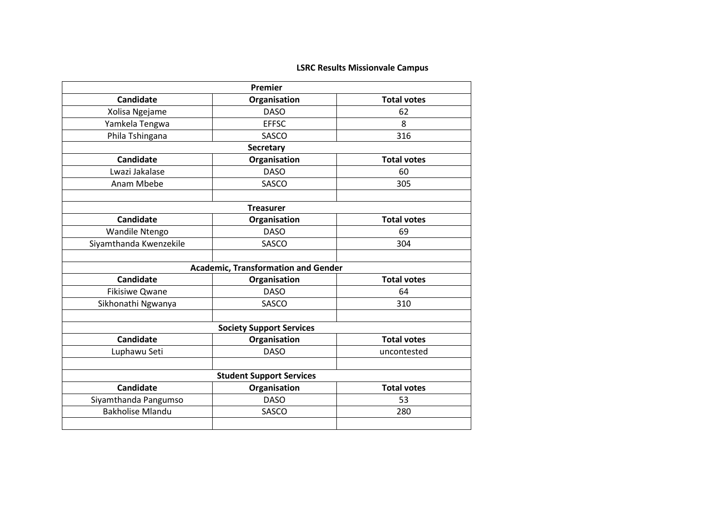## **LSRC Results Missionvale Campus**

|                         | Premier                                    |                    |  |  |
|-------------------------|--------------------------------------------|--------------------|--|--|
| Candidate               | Organisation                               | <b>Total votes</b> |  |  |
| Xolisa Ngejame          | <b>DASO</b>                                | 62                 |  |  |
| Yamkela Tengwa          | <b>EFFSC</b>                               | 8                  |  |  |
| Phila Tshingana         | SASCO                                      | 316                |  |  |
|                         | <b>Secretary</b>                           |                    |  |  |
| Candidate               | Organisation                               | <b>Total votes</b> |  |  |
| Lwazi Jakalase          | <b>DASO</b>                                | 60                 |  |  |
| Anam Mbebe              | SASCO                                      | 305                |  |  |
|                         |                                            |                    |  |  |
|                         | <b>Treasurer</b>                           |                    |  |  |
| <b>Candidate</b>        | Organisation                               | <b>Total votes</b> |  |  |
| Wandile Ntengo          | <b>DASO</b>                                | 69                 |  |  |
| Siyamthanda Kwenzekile  | SASCO                                      | 304                |  |  |
|                         |                                            |                    |  |  |
|                         | <b>Academic, Transformation and Gender</b> |                    |  |  |
| Candidate               | Organisation                               | <b>Total votes</b> |  |  |
| <b>Fikisiwe Qwane</b>   | <b>DASO</b>                                | 64                 |  |  |
| Sikhonathi Ngwanya      | SASCO                                      | 310                |  |  |
|                         |                                            |                    |  |  |
|                         | <b>Society Support Services</b>            |                    |  |  |
| Candidate               | Organisation                               | <b>Total votes</b> |  |  |
| Luphawu Seti            | <b>DASO</b>                                | uncontested        |  |  |
|                         |                                            |                    |  |  |
|                         | <b>Student Support Services</b>            |                    |  |  |
| Candidate               | Organisation                               | <b>Total votes</b> |  |  |
| Siyamthanda Pangumso    | <b>DASO</b>                                | 53                 |  |  |
| <b>Bakholise Mlandu</b> | SASCO                                      | 280                |  |  |
|                         |                                            |                    |  |  |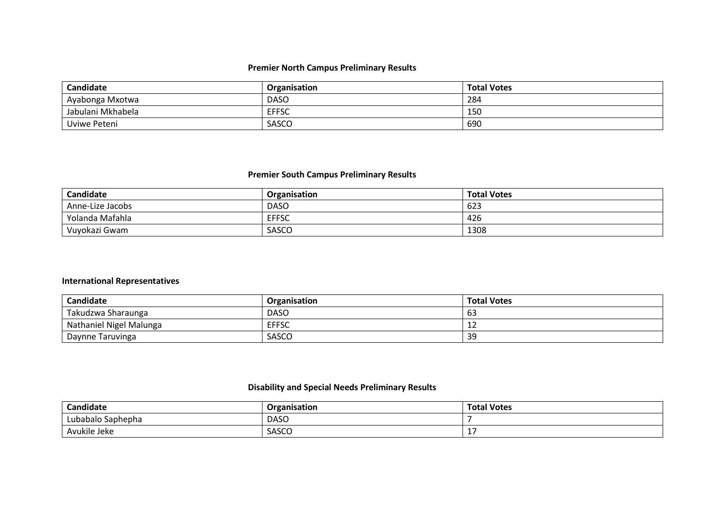#### **Premier North Campus Preliminary Results**

| Candidate         | Organisation | <b>Total Votes</b> |
|-------------------|--------------|--------------------|
| Ayabonga Mxotwa   | <b>DASC</b>  | 284                |
| Jabulani Mkhabela | <b>EFFSC</b> | 150                |
| Uviwe Peteni      | <b>SASCO</b> | 690                |

#### **Premier South Campus Preliminary Results**

| Candidate        | <b>Organisation</b> | <b>Total Votes</b> |
|------------------|---------------------|--------------------|
| Anne-Lize Jacobs | <b>DASO</b>         | 623                |
| Yolanda Mafahla  | <b>EFFSC</b>        | 426                |
| Vuyokazi Gwam    | SASCO               | 1308               |

## **International Representatives**

| <b>Candidate</b>        | <b>Organisation</b> | <b>Total Votes</b> |
|-------------------------|---------------------|--------------------|
| Takudzwa Sharaunga      | <b>DASC</b>         | ხ≾                 |
| Nathaniel Nigel Malunga | <b>EFFSC</b>        | <b>.</b>           |
| Daynne Taruvinga        | SASCO               | 39                 |

#### **Disability and Special Needs Preliminary Results**

| Candidate         | Organisation | Total<br>I Votes |
|-------------------|--------------|------------------|
| Lubabalo Saphepha | <b>DASC</b>  |                  |
| Avukile Jeke      | SASCO        |                  |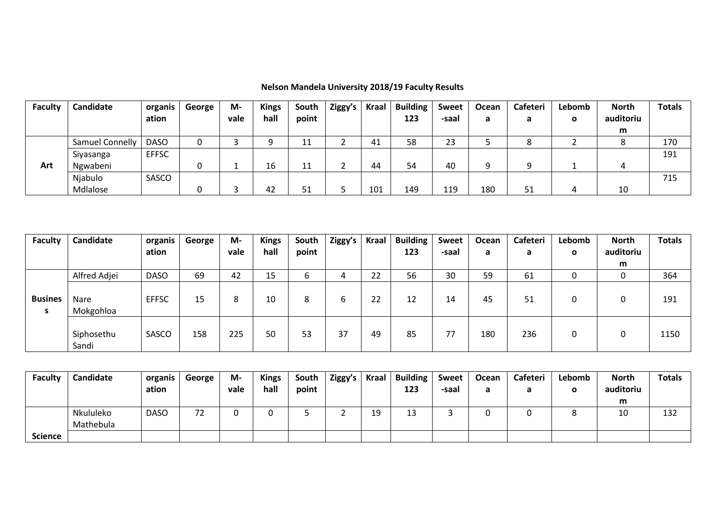| <b>Faculty</b> | Candidate       | organis      | George | M-   | <b>Kings</b> | South          | Ziggy's | <b>Kraal</b> | <b>Building</b> | <b>Sweet</b> | Ocean | <b>Cafeteri</b>    | Lebomb       | <b>North</b> | <b>Totals</b> |
|----------------|-----------------|--------------|--------|------|--------------|----------------|---------|--------------|-----------------|--------------|-------|--------------------|--------------|--------------|---------------|
|                |                 | ation        |        | vale | hall         | point          |         |              | 123             | -saal        | a     | a                  | $\mathbf{o}$ | auditoriu    |               |
|                |                 |              |        |      |              |                |         |              |                 |              |       |                    |              | m            |               |
|                | Samuel Connelly | <b>DASO</b>  |        |      |              | 11<br><u>_</u> |         | 41           | 58              | 23           |       | $\circ$<br>$\circ$ |              |              | 170           |
|                | Siyasanga       | <b>EFFSC</b> |        |      |              |                |         |              |                 |              |       |                    |              |              | 191           |
| Art            | Ngwabeni        |              |        |      | 16           | 11             |         | 44           | 54              | 40           | a     | q                  |              | ≖            |               |
|                | Njabulo         | SASCO        |        |      |              |                |         |              |                 |              |       |                    |              |              | 715           |
|                | Mdlalose        |              |        |      | 42           | 51             |         | 101          | 149             | 119          | 180   | 51                 | 4            | 10           |               |

# **Nelson Mandela University 2018/19 Faculty Results**

| <b>Faculty</b>      | Candidate           | organis      | George | M-   | <b>Kings</b> | South | Ziggy's | <b>Kraal</b> | <b>Building</b> | <b>Sweet</b> | Ocean | Cafeteri | Lebomb | <b>North</b> | <b>Totals</b> |
|---------------------|---------------------|--------------|--------|------|--------------|-------|---------|--------------|-----------------|--------------|-------|----------|--------|--------------|---------------|
|                     |                     | ation        |        | vale | hall         | point |         |              | 123             | -saal        | а     | a        | O      | auditoriu    |               |
|                     |                     |              |        |      |              |       |         |              |                 |              |       |          |        | m            |               |
|                     | Alfred Adjei        | <b>DASO</b>  | 69     | 42   | 15           | b     |         | 22           | 56              | 30           | 59    | 61       | ∩<br>υ |              | 364           |
| <b>Busines</b><br>S | Nare<br>Mokgohloa   | <b>EFFSC</b> | 15     | 8    | 10           | 8     | 6       | 22           | 12              | 14           | 45    | 51       | 0      |              | 191           |
|                     | Siphosethu<br>Sandi | SASCO        | 158    | 225  | 50           | 53    | 37      | 49           | 85              | 77           | 180   | 236      | 0      | 0            | 1150          |

| <b>Faculty</b> | Candidate | organis     | George | М-   | <b>Kings</b> | South | Ziggy's | <b>Kraal</b> | <b>Building</b> | <b>Sweet</b> | Ocean | Cafeteri | Lebomb | <b>North</b> | <b>Totals</b> |
|----------------|-----------|-------------|--------|------|--------------|-------|---------|--------------|-----------------|--------------|-------|----------|--------|--------------|---------------|
|                |           | ation       |        | vale | hall         | point |         |              | 123             | -saal        |       |          | о      | auditoriu    |               |
|                |           |             |        |      |              |       |         |              |                 |              |       |          |        | m            |               |
|                | Nkululeko | <b>DASO</b> | 72     |      |              |       |         | 10<br>∸      | ⊥J              |              |       |          |        | 10           | 132           |
|                | Mathebula |             |        |      |              |       |         |              |                 |              |       |          |        |              |               |
| <b>Science</b> |           |             |        |      |              |       |         |              |                 |              |       |          |        |              |               |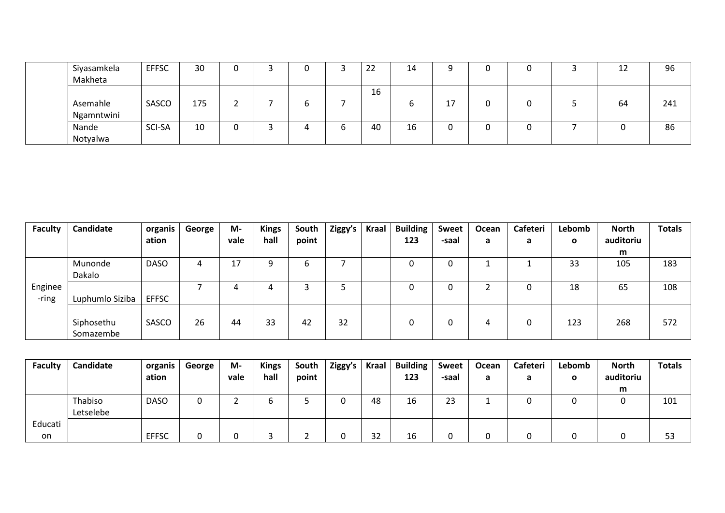| Siyasamkela | <b>EFFSC</b> | 30  |  |  | າາ<br><u>_ _ _</u> | 14 |               |  | 12<br>∸∸ | 96  |
|-------------|--------------|-----|--|--|--------------------|----|---------------|--|----------|-----|
| Makheta     |              |     |  |  |                    |    |               |  |          |     |
|             |              |     |  |  | 16                 |    |               |  |          |     |
| Asemahle    | SASCO        | 175 |  |  |                    | O  | $\sim$<br>. . |  | 64       | 241 |
| Ngamntwini  |              |     |  |  |                    |    |               |  |          |     |
| Nande       | SCI-SA       | 10  |  |  | 40                 | 16 |               |  |          | 86  |
| Notyalwa    |              |     |  |  |                    |    |               |  |          |     |

| <b>Faculty</b> | Candidate       | organis      | George | M-   | <b>Kings</b> | South | Ziggy's | <b>Kraal</b> | <b>Building</b> | Sweet | Ocean | Cafeteri | Lebomb | <b>North</b> | <b>Totals</b> |
|----------------|-----------------|--------------|--------|------|--------------|-------|---------|--------------|-----------------|-------|-------|----------|--------|--------------|---------------|
|                |                 | ation        |        | vale | hall         | point |         |              | 123             | -saal | a     | a        | O      | auditoriu    |               |
|                |                 |              |        |      |              |       |         |              |                 |       |       |          |        | m            |               |
|                | Munonde         | <b>DASO</b>  | 4      | 17   | a            | b     |         |              |                 | ∩     |       |          | 33     | 105          | 183           |
|                | Dakalo          |              |        |      |              |       |         |              |                 |       |       |          |        |              |               |
| Enginee        |                 |              |        | 4    | 4            |       |         |              | 0               |       |       |          | 18     | 65           | 108           |
| -ring          | Luphumlo Siziba | <b>EFFSC</b> |        |      |              |       |         |              |                 |       |       |          |        |              |               |
|                |                 |              |        |      |              |       |         |              |                 |       |       |          |        |              |               |
|                | Siphosethu      | SASCO        | 26     | 44   | 33           | 42    | 32      |              |                 |       | 4     |          | 123    | 268          | 572           |
|                | Somazembe       |              |        |      |              |       |         |              |                 |       |       |          |        |              |               |

| <b>Faculty</b> | Candidate | organis      | George | M-   | <b>Kings</b> | South | Ziggy's | <b>Kraal</b> | <b>Building</b> | <b>Sweet</b> | Ocean | Cafeteri | Lebomb | <b>North</b> | <b>Totals</b> |
|----------------|-----------|--------------|--------|------|--------------|-------|---------|--------------|-----------------|--------------|-------|----------|--------|--------------|---------------|
|                |           | ation        |        | vale | hall         | point |         |              | 123             | -saal        | d     | а        | O      | auditoriu    |               |
|                |           |              |        |      |              |       |         |              |                 |              |       |          |        | m            |               |
|                | Thabiso   | <b>DASO</b>  | υ      |      | u            |       |         | 48           | 16              | 23           |       |          |        |              | 101           |
|                | Letselebe |              |        |      |              |       |         |              |                 |              |       |          |        |              |               |
| Educati        |           |              |        |      |              |       |         |              |                 |              |       |          |        |              |               |
| on             |           | <b>EFFSC</b> |        |      |              |       |         | 32           | 16              |              |       |          |        |              | 53            |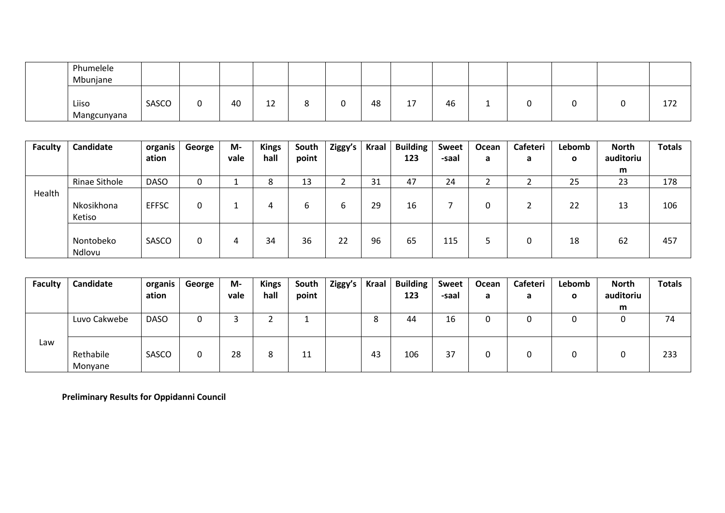| Phumelele<br>Mbunjane |       |    |              |   |    |                      |    |  |  |     |
|-----------------------|-------|----|--------------|---|----|----------------------|----|--|--|-----|
| Liiso<br>Mangcunyana  | SASCO | 40 | $\sim$<br>∸∸ | ີ | 48 | $\rightarrow$<br>. . | 46 |  |  | 172 |

| <b>Faculty</b> | Candidate     | organis      | George | M-   | <b>Kings</b> | South | Ziggy's | Kraal | <b>Building</b> | <b>Sweet</b> | Ocean | Cafeteri | Lebomb      | <b>North</b> | <b>Totals</b> |
|----------------|---------------|--------------|--------|------|--------------|-------|---------|-------|-----------------|--------------|-------|----------|-------------|--------------|---------------|
|                |               | ation        |        | vale | hall         | point |         |       | 123             | -saal        | a     | a        | $\mathbf o$ | auditoriu    |               |
|                |               |              |        |      |              |       |         |       |                 |              |       |          |             | m            |               |
|                | Rinae Sithole | <b>DASO</b>  |        |      | o<br>O       | 13    |         | 31    | 47              | 24           |       |          | 25          | 23           | 178           |
| Health         |               |              |        |      |              |       |         |       |                 |              |       |          |             |              |               |
|                | Nkosikhona    | <b>EFFSC</b> |        |      | 4            | b     | b       | 29    | 16              |              |       |          | 22          | 13           | 106           |
|                | Ketiso        |              |        |      |              |       |         |       |                 |              |       |          |             |              |               |
|                |               |              |        |      |              |       |         |       |                 |              |       |          |             |              |               |
|                | Nontobeko     | SASCO        | 0      | 4    | 34           | 36    | 22      | 96    | 65              | 115          |       | 0        | 18          | 62           | 457           |
|                | Ndlovu        |              |        |      |              |       |         |       |                 |              |       |          |             |              |               |

| <b>Faculty</b> | Candidate            | organis     | George | M-   | <b>Kings</b> | South | Ziggy's | <b>Kraal</b> | <b>Building</b> | <b>Sweet</b> | Ocean | <b>Cafeteri</b> | Lebomb | <b>North</b> | <b>Totals</b> |
|----------------|----------------------|-------------|--------|------|--------------|-------|---------|--------------|-----------------|--------------|-------|-----------------|--------|--------------|---------------|
|                |                      | ation       |        | vale | hall         | point |         |              | 123             | -saal        | a     | a               | O      | auditoriu    |               |
|                |                      |             |        |      |              |       |         |              |                 |              |       |                 |        | m            |               |
|                | Luvo Cakwebe         | <b>DASO</b> | υ      |      |              |       |         |              | 44              | 16           |       | U               | υ      |              | 74            |
| Law            | Rethabile<br>Monyane | SASCO       | 0      | 28   | ۰            | 11    |         | 43           | 106             | 37           |       |                 |        |              | 233           |

**Preliminary Results for Oppidanni Council**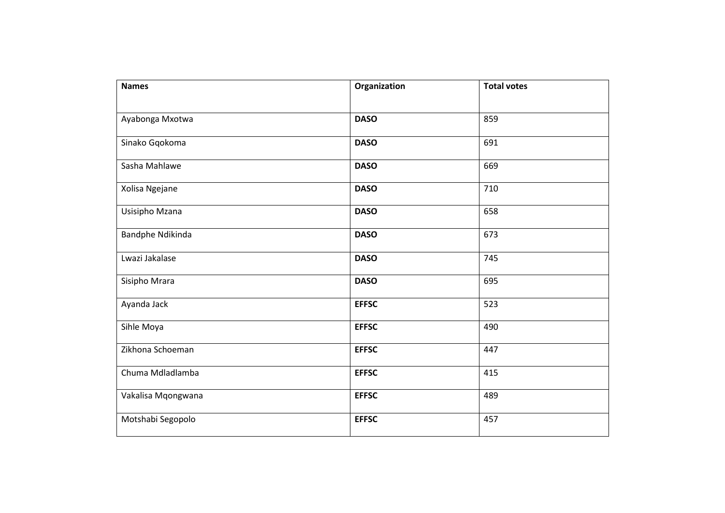| <b>Names</b>       | Organization | <b>Total votes</b> |
|--------------------|--------------|--------------------|
|                    |              |                    |
| Ayabonga Mxotwa    | <b>DASO</b>  | 859                |
| Sinako Gqokoma     | <b>DASO</b>  | 691                |
| Sasha Mahlawe      | <b>DASO</b>  | 669                |
| Xolisa Ngejane     | <b>DASO</b>  | 710                |
| Usisipho Mzana     | <b>DASO</b>  | 658                |
| Bandphe Ndikinda   | <b>DASO</b>  | 673                |
| Lwazi Jakalase     | <b>DASO</b>  | 745                |
| Sisipho Mrara      | <b>DASO</b>  | 695                |
| Ayanda Jack        | <b>EFFSC</b> | 523                |
| Sihle Moya         | <b>EFFSC</b> | 490                |
| Zikhona Schoeman   | <b>EFFSC</b> | 447                |
| Chuma Mdladlamba   | <b>EFFSC</b> | 415                |
| Vakalisa Mqongwana | <b>EFFSC</b> | 489                |
| Motshabi Segopolo  | <b>EFFSC</b> | 457                |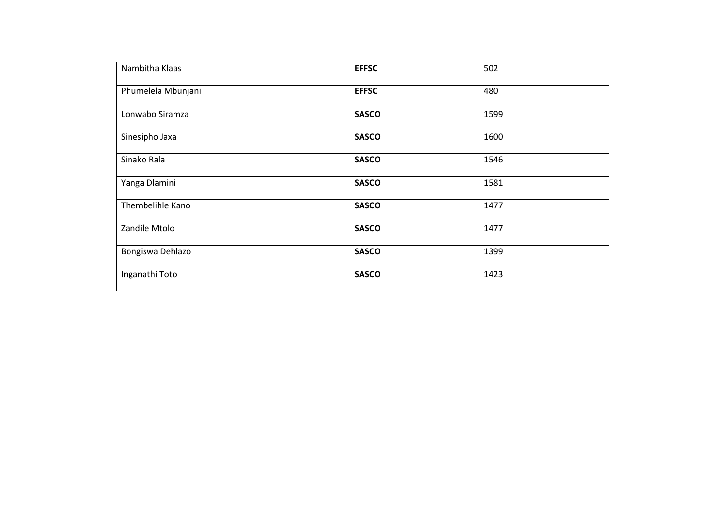| Nambitha Klaas     | <b>EFFSC</b> | 502  |
|--------------------|--------------|------|
| Phumelela Mbunjani | <b>EFFSC</b> | 480  |
| Lonwabo Siramza    | <b>SASCO</b> | 1599 |
| Sinesipho Jaxa     | <b>SASCO</b> | 1600 |
| Sinako Rala        | <b>SASCO</b> | 1546 |
| Yanga Dlamini      | <b>SASCO</b> | 1581 |
| Thembelihle Kano   | <b>SASCO</b> | 1477 |
| Zandile Mtolo      | <b>SASCO</b> | 1477 |
| Bongiswa Dehlazo   | <b>SASCO</b> | 1399 |
| Inganathi Toto     | <b>SASCO</b> | 1423 |